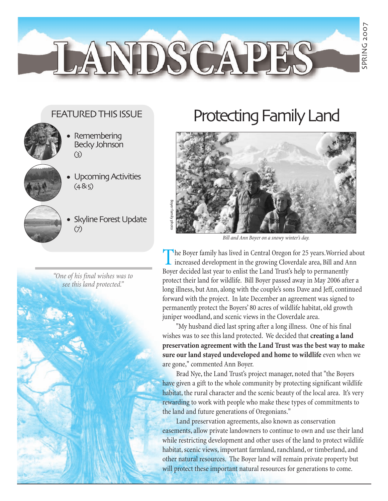### FEATURED THIS ISSUE

LANDSCAPE



- Remembering Becky Johnson (3) •
- Upcoming Activities  $(485)$
- Skyline Forest Update (7)



# Protecting Family Land



*Bill and Ann Boyer on a snowy winter's day.*

 $\blacksquare$  he Boyer family has lived in Central Oregon for 25 years. Worried about increased development in the growing Cloverdale area, Bill and Ann Boyer decided last year to enlist the Land Trust's help to permanently protect their land for wildlife. Bill Boyer passed away in May 2006 after a long illness, but Ann, along with the couple's sons Dave and Jeff, continued forward with the project. In late December an agreement was signed to permanently protect the Boyers' 80 acres of wildlife habitat, old growth juniper woodland, and scenic views in the Cloverdale area.

"My husband died last spring after a long illness. One of his final wishes was to see this land protected. We decided that **creating a land preservation agreement with the Land Trust was the best way to make sure our land stayed undeveloped and home to wildlife** even when we are gone," commented Ann Boyer.

Brad Nye, the Land Trust's project manager, noted that "the Boyers have given a gift to the whole community by protecting significant wildlife habitat, the rural character and the scenic beauty of the local area. It's very rewarding to work with people who make these types of commitments to the land and future generations of Oregonians."

Land preservation agreements, also known as conservation easements, allow private landowners to continue to own and use their land while restricting development and other uses of the land to protect wildlife habitat, scenic views, important farmland, ranchland, or timberland, and other natural resources. The Boyer land will remain private property but will protect these important natural resources for generations to come.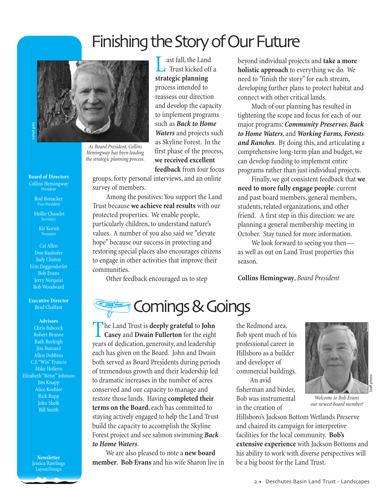## Finishing the Story of Our Future



*As Board President, Collins Hemingway has been leading the strategic planning process.*

**Board of Directors** Collins Hemingway President

> Rod Bonacker Vice-President

Mollie Chaudet Secretary

> Kit Korish Treasurer

Cal Allen Don Bauhofer Judy Clinton Erin Deggendorfer Bob Evans Jerry Norquist Bob Woodward

**Executive Director** Brad Chalfant

**Advisors** Chris Babcock Robert Brunoe Ruth Burleigh Jim Bussard Allen Dobbins C.E "Win" Francis Mike Hollern Elizabeth "Betsy" Johnson Jim Knapp Alice Koehler Rick Rupp John Shelk Bill Smith

> **Newsletter** Jessica Rawlings Layout/Design

ast fall, the Land Trust kicked off a **feedback** from four focus

groups, forty personal interviews, and an online survey of members.

Among the positives: You support the Land Trust because **we achieve real results** with our protected properties. We enable people, particularly children, to understand nature's values. A number of you also said we "elevate hope" because our success in protecting and restoring special places also encourages citizens to engage in other activities that improve their communities.

Other feedback encouraged us to step

**strategic planning** process intended to reassess our direction and develop the capacity to implement programs such as *Back to Home Waters* and projects such as Skyline Forest. In the first phase of the process, **we received excellent**

beyond individual projects and **take a more holistic approach** to everything we do. We need to "finish the story" for each stream, developing further plans to protect habitat and connect with other critical lands.

Much of our planning has resulted in tightening the scope and focus for each of our major programs: *Community Preserves*, *Back to Home Waters*, and *Working Farms, Forests and Ranches*. By doing this, and articulating a comprehensive long-term plan and budget, we can develop funding to implement entire programs rather than just individual projects.

Finally, we got consistent feedback that **we need to more fully engage people**: current and past board members, general members, students, related organizations, and other friend. A first step in this direction: we are planning a general membership meeting in October. Stay tuned for more information.

We look forward to seeing you then as well as out on Land Trust properties this season.

**Collins Hemingway**, *Board President*

**Example 3 Comings & Goings** 

The Land Trust is **deeply grateful** to **John Casey** and **Dwain Fullerton** for the eight years of dedication, generosity, and leadership each has given on the Board. John and Dwain both served as Board Presidents during periods of tremendous growth and their leadership led to dramatic increases in the number of acres conserved and our capacity to manage and restore those lands. Having **completed their terms on the Board**, each has committed to staying actively engaged to help the Land Trust build the capacity to accomplish the Skyline Forest project and see salmon swimming *Back to Home Waters*.

We are also pleased to note a **new board member**. **Bob Evans** and his wife Sharon live in the Redmond area. Bob spent much of his professional career in Hillsboro as a builder and developer of commercial buildings.

An avid fisherman and birder, Bob was instrumental in the creation of



*Welcome to Bob Evans our newest board member!*

Hillsboro's Jackson Bottom Wetlands Preserve and chaired its campaign for interpretive facilities for the local community. **Bob's extensive experience** with Jackson Bottoms and his ability to work with diverse perspectives will be a big boost for the Land Trust.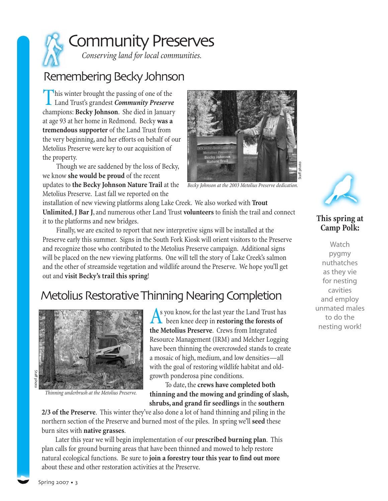

### Remembering Becky Johnson

This winter brought the passing of one of the Land Trust's grandest *Community Preserve* champions: **Becky Johnson**. She died in January at age 93 at her home in Redmond. Becky **was a tremendous supporter** of the Land Trust from the very beginning, and her efforts on behalf of our Metolius Preserve were key to our acquisition of the property.

Though we are saddened by the loss of Becky, we know **she would be proud** of the recent updates to **the Becky Johnson Nature Trail** at the Metolius Preserve. Last fall we reported on the



*Becky Johnson at the 2003 Metolius Preserve dedication.*

installation of new viewing platforms along Lake Creek. We also worked with **Trout Unlimited**,**J Bar J**, and numerous other Land Trust **volunteers** to finish the trail and connect it to the platforms and new bridges.

Finally, we are excited to report that new interpretive signs will be installed at the Preserve early this summer. Signs in the South Fork Kiosk will orient visitors to the Preserve and recognize those who contributed to the Metolius Preserve campaign. Additional signs will be placed on the new viewing platforms. One will tell the story of Lake Creek's salmon and the other of streamside vegetation and wildlife around the Preserve. We hope you'll get out and **visit Becky's trail this spring**!

### Metolius Restorative Thinning Nearing Completion



*Thinning underbrush at the Metolius Preserve.*

As you know, for the last year the Land Trust has **h** been knee deep in **restoring the forests of the Metolius Preserve**. Crews from Integrated Resource Management (IRM) and Melcher Logging have been thinning the overcrowded stands to create a mosaic of high, medium, and low densities—all with the goal of restoring wildlife habitat and oldgrowth ponderosa pine conditions.

To date, the **crews have completed both thinning and the mowing and grinding of slash, shrubs, and grand fir seedlings** in the **southern**

**2/3 of the Preserve**. This winter they've also done a lot of hand thinning and piling in the northern section of the Preserve and burned most of the piles. In spring we'll **seed** these burn sites with **native grasses**.

Later this year we will begin implementation of our **prescribed burning plan**. This plan calls for ground burning areas that have been thinned and mowed to help restore natural ecological functions. Be sure to **join a forestry tour this year to find out more** about these and other restoration activities at the Preserve.



#### **This spring at Camp Polk:**

**Watch** pygmy nuthatches as they vie for nesting cavities and employ unmated males to do the nesting work!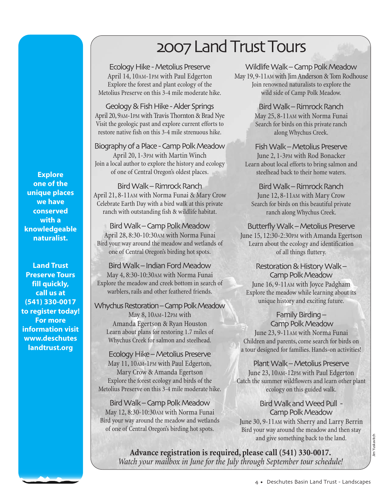# 2007 Land Trust Tours

Ecology Hike - Metolius Preserve April 14, 10AM-1PM with Paul Edgerton Explore the forest and plant ecology of the Metolius Preserve on this 3-4 mile moderate hike.

Geology & Fish Hike - Alder Springs April 20, 9AM-1PM with Travis Thornton & Brad Nye Visit the geologic past and explore current efforts to restore native fish on this 3-4 mile strenuous hike.

Biography of a Place - Camp Polk Meadow April 20, 1-3PM with Martin Winch Join a local author to explore the history and ecology of one of Central Oregon's oldest places.

Bird Walk – Rimrock Ranch April 21, 8-11AM with Norma Funai & Mary Crow Celebrate Earth Day with a bird walk at this private ranch with outstanding fish & wildlife habitat.

Bird Walk – Camp Polk Meadow April 28, 8:30-10:30AM with Norma Funai Bird your way around the meadow and wetlands of one of Central Oregon's birding hot spots.

Bird Walk – Indian Ford Meadow May 4, 8:30-10:30AM with Norma Funai Explore the meadow and creek bottom in search of warblers, rails and other feathered friends.

Whychus Restoration – Camp Polk Meadow May 8, 10AM-12PM with

Amanda Egertson & Ryan Houston Learn about plans for restoring 1.7 miles of Whychus Creek for salmon and steelhead.

Ecology Hike – Metolius Preserve May 11, 10AM-1PM with Paul Edgerton, Mary Crow & Amanda Egertson Explore the forest ecology and birds of the Metolius Preserve on this 3-4 mile moderate hike.

Bird Walk – Camp Polk Meadow May 12, 8:30-10:30AM with Norma Funai Bird your way around the meadow and wetlands of one of Central Oregon's birding hot spots.

Wildlife Walk – Camp Polk Meadow May 19, 9-11AM with Jim Anderson & Tom Rodhouse Join renowned naturalists to explore the wild side of Camp Polk Meadow.

> Bird Walk – Rimrock Ranch May 25, 8-11AM with Norma Funai Search for birds on this private ranch along Whychus Creek.

Fish Walk – Metolius Preserve June 2, 1-3PM with Rod Bonacker Learn about local efforts to bring salmon and steelhead back to their home waters.

Bird Walk – Rimrock Ranch June 12, 8-11AM with Mary Crow Search for birds on this beautiful private ranch along Whychus Creek.

Butterfly Walk – Metolius Preserve June 15, 12:30-2:30PM with Amanda Egertson Learn about the ecology and identification of all things fluttery.

Restoration & History Walk – Camp Polk Meadow June 16, 9-11AM with Joyce Padgham Explore the meadow while learning about its unique history and exciting future.

Family Birding – Camp Polk Meadow June 23, 9-11AM with Norma Funai Children and parents, come search for birds on a tour designed for families. Hands-on activities!

Plant Walk – Metolius Preserve June 23, 10AM-12PM with Paul Edgerton Catch the summer wildflowers and learn other plant ecology on this guided walk.

Camp Polk Meadow June 30, 9-11AM with Sherry and Larry Berrin Bird your way around the meadow and then stay and give something back to the land.

Bird Walk and Weed Pull -

**Advance registration is required, please call (541) 330-0017.** *and give something back to the land.*<br>Advance registration is required, please call (541) 330-0017.<br>Watch your mailbox in June for the July through September tour schedule!

**Explore one of the unique places we have conserved with a knowledgeable naturalist.**

**Land Trust Preserve Tours fill quickly, call us at (541) 330-0017 to register today! For more information visit www.deschutes landtrust.org**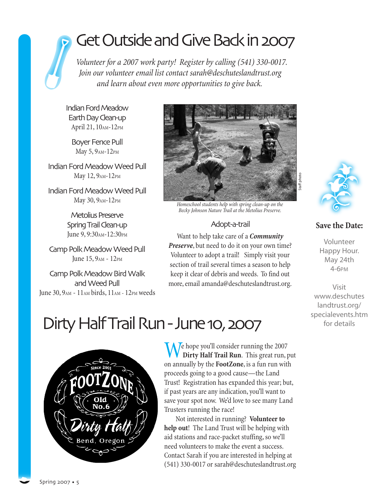# Get Outside and Give Back in 2007

*Volunteer for a 2007 work party! Register by calling (541) 330-0017. Join our volunteer email list contact sarah@deschuteslandtrust.org and learn about even more opportunities to give back.*

Indian Ford Meadow Earth Day Clean-up April 21, 10AM-12PM

Boyer Fence Pull May 5, 9AM-12PM

Indian Ford Meadow Weed Pull May 12, 9AM-12PM

Indian Ford Meadow Weed Pull May 30, 9AM-12PM

> Metolius Preserve Spring Trail Clean-up June 9, 9:30<sub>AM</sub>-12:30<sub>PM</sub>

Camp Polk Meadow Weed Pull June 15, 9AM - 12PM

Camp Polk Meadow Bird Walk and Weed Pull June 30, 9AM - 11AM birds, 11AM - 12PM weeds



*Homeschool students help with spring clean-up on the Becky Johnson Nature Trail at the Metolius Preserve.*

#### Adopt-a-trail

Want to help take care of a *Community Preserve*, but need to do it on your own time? Volunteer to adopt a trail! Simply visit your section of trail several times a season to help keep it clear of debris and weeds. To find out more, email amanda@deschuteslandtrust.org.



itaff photo

#### **Save the Date:**

Volunteer Happy Hour. May 24th 4-6PM

Visit www.deschutes landtrust.org/ specialevents.htm for details

## Dirty Half Trail Run - June 10, 2007



 $\ell$  hope you'll consider running the 2007 **Dirty Half Trail Run**. This great run, put on annually by the **FootZone**, is a fun run with proceeds going to a good cause—the Land Trust! Registration has expanded this year; but, if past years are any indication, you'll want to save your spot now. We'd love to see many Land Trusters running the race!

Not interested in running? **Volunteer to help out**! The Land Trust will be helping with aid stations and race-packet stuffing, so we'll need volunteers to make the event a success. Contact Sarah if you are interested in helping at (541) 330-0017 or sarah@deschuteslandtrust.org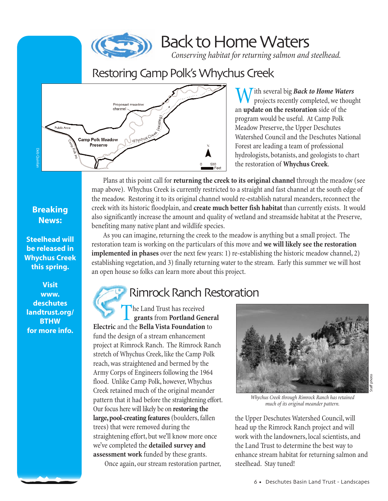

## Back to Home Waters

*Conserving habitat for returning salmon and steelhead.*

## Restoring Camp Polk's Whychus Creek



**M** ith several big *Back to Home Waters* projects recently completed, we thought an **update on the restoration** side of the program would be useful. At Camp Polk Meadow Preserve, the Upper Deschutes Watershed Council and the Deschutes National Forest are leading a team of professional hydrologists, botanists, and geologists to chart the restoration of **Whychus Creek**.

Plans at this point call for **returning the creek to its original channel** through the meadow (see map above). Whychus Creek is currently restricted to a straight and fast channel at the south edge of the meadow. Restoring it to its original channel would re-establish natural meanders, reconnect the creek with its historic floodplain, and **create much better fish habitat** than currently exists. It would also significantly increase the amount and quality of wetland and streamside habitat at the Preserve, benefiting many native plant and wildlife species.

As you can imagine, returning the creek to the meadow is anything but a small project. The restoration team is working on the particulars of this move and **we will likely see the restoration implemented in phases** over the next few years: 1) re-establishing the historic meadow channel, 2) establishing vegetation, and 3) finally returning water to the stream. Early this summer we will host an open house so folks can learn more about this project.

## Rimrock Ranch Restoration

he Land Trust has received **grants** from **Portland General Electric** and the **Bella Vista Foundation** to fund the design of a stream enhancement project at Rimrock Ranch. The Rimrock Ranch stretch of Whychus Creek, like the Camp Polk reach, was straightened and bermed by the Army Corps of Engineers following the 1964 flood. Unlike Camp Polk, however, Whychus Creek retained much of the original meander pattern that it had before the straightening effort. Our focus here will likely be on **restoring the large, pool-creating features**(boulders, fallen trees) that were removed during the straightening effort, but we'll know more once we've completed the **detailed survey and assessment work** funded by these grants.

Once again, our stream restoration partner,



*Whychus Creek through Rimrock Ranch has retained much of its original meander pattern.*

the Upper Deschutes Watershed Council, will head up the Rimrock Ranch project and will work with the landowners, local scientists, and the Land Trust to determine the best way to enhance stream habitat for returning salmon and steelhead. Stay tuned!

### **Breaking News:**

**Steelhead will be released in Whychus Creek this spring.**

**Visit www. deschutes landtrust.org/ BTHW for more info.**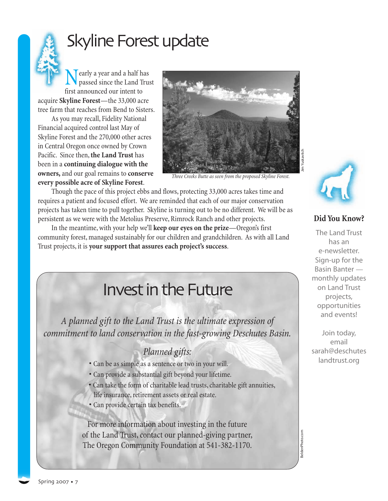# Skyline Forest update

early a year and a half has passed since the Land Trust first announced our intent to acquire **Skyline Forest**—the 33,000 acre

tree farm that reaches from Bend to Sisters. As you may recall, Fidelity National Financial acquired control last May of Skyline Forest and the 270,000 other acres in Central Oregon once owned by Crown Pacific. Since then,**the Land Trust** has been in a **continuing dialogue with the owners,** and our goal remains to **conserve every possible acre of Skyline Forest**.



*Three Creeks Butte as seen from the proposed Skyline Forest.*

Though the pace of this project ebbs and flows, protecting 33,000 acres takes time and requires a patient and focused effort. We are reminded that each of our major conservation projects has taken time to pull together. Skyline is turning out to be no different. We will be as persistent as we were with the Metolius Preserve, Rimrock Ranch and other projects.

In the meantime, with your help we'll **keep our eyes on the prize**—Oregon's first community forest, managed sustainably for our children and grandchildren. As with all Land Trust projects, it is **your support that assures each project's success**.

## Invest in the Future

*A planned gift to the Land Trust is the ultimate expression of commitment to land conservation in the fast-growing Deschutes Basin.*

### *Planned gifts:*

- Can be as simple as a sentence or two in your will.
- Can provide a substantial gift beyond your lifetime.
- Can take the form of charitable lead trusts, charitable gift annuities,
- life insurance, retirement assets or real estate.
- Can provide certain tax benefits.

For more information about investing in the future of the Land Trust, contact our planned-giving partner, The Oregon Community Foundation at 541-382-1170.



#### **Did You Know?**

The Land Trust has an e-newsletter. Sign-up for the Basin Banter monthly updates on Land Trust projects, opportunities and events!

Join today, email sarah@deschutes landtrust.org